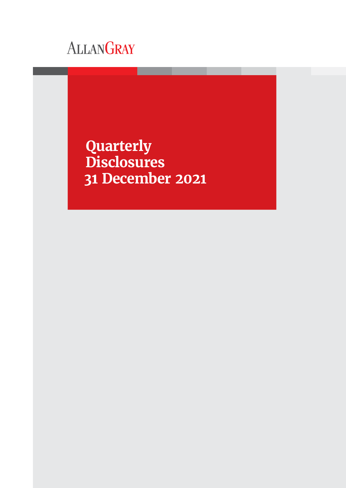# ALLANGRAY

**Quarterly Disclosures 31 December 2021**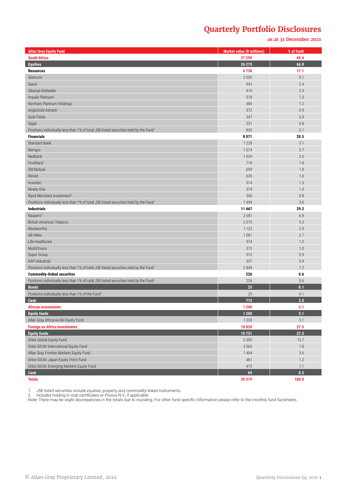#### **as at 31 December 2021**

| <b>Allan Gray Equity Fund</b>                                                                    | <b>Market value (R millions)</b> | % of Fund |
|--------------------------------------------------------------------------------------------------|----------------------------------|-----------|
| <b>South Africa</b>                                                                              | 27 299                           | 69.4      |
| <b>Equities</b>                                                                                  | 26 275                           | 66.8      |
| <b>Resources</b>                                                                                 | 6738                             | 17.1      |
| Glencore                                                                                         | 2 0 0 5                          | 5.1       |
| Sasol                                                                                            | 941                              | 2.4       |
| Sibanye-Stillwater                                                                               | 915                              | 2.3       |
| Impala Platinum                                                                                  | 518                              | 1.3       |
| Northam Platinum Holdings                                                                        | 489                              | 1.2       |
| AngloGold Ashanti                                                                                | 372                              | 0.9       |
| Gold Fields                                                                                      | 347                              | 0.9       |
| Sappi                                                                                            | 331                              | 0.8       |
| Positions individually less than 1% of total JSE-listed securities held by the Fund <sup>1</sup> | 820                              | 2.1       |
| <b>Financials</b>                                                                                | 8 0 7 1                          | 20.5      |
| <b>Standard Bank</b>                                                                             | 1 2 2 8                          | 3.1       |
| Remgro                                                                                           | 1074                             | 2.7       |
| Nedbank                                                                                          | 1029                             | 2.6       |
| FirstRand                                                                                        | 719                              | 1.8       |
| Old Mutual                                                                                       | 699                              | 1.8       |
| Reinet                                                                                           | 636                              | 1.6       |
| Investec                                                                                         | 514                              | 1.3       |
| Ninety One                                                                                       | 374                              | 1.0       |
| Rand Merchant Investment <sup>2</sup>                                                            | 306                              | 0.8       |
| Positions individually less than 1% of total JSE-listed securities held by the Fund1             | 1 4 9 4                          | 3.8       |
| <b>Industrials</b>                                                                               | 11 4 67                          | 29.2      |
| Naspers <sup>2</sup>                                                                             | 2681                             | 6.8       |
| <b>British American Tobacco</b>                                                                  | 2075                             | 5.3       |
| Woolworths                                                                                       | 1 1 2 3                          | 2.9       |
| AB InBev                                                                                         | 1081                             | 2.7       |
| Life Healthcare                                                                                  | 574                              | 1.5       |
| MultiChoice                                                                                      | 375                              | 1.0       |
| Super Group                                                                                      | 372                              | 0.9       |
| <b>KAP Industrial</b>                                                                            | 337                              | 0.9       |
| Positions individually less than 1% of total JSE-listed securities held by the Fund <sup>1</sup> | 2849                             | 7.2       |
| <b>Commodity-linked securities</b>                                                               | 226                              | 0.6       |
| Positions individually less than 1% of total JSE-listed securities held by the Fund <sup>1</sup> | 226                              | 0.6       |
| <b>Bonds</b>                                                                                     | 25                               | 0.1       |
| Positions individually less than 1% of the Fund <sup>1</sup>                                     | 25                               | 0.1       |
| Cash                                                                                             | 773                              | 2.0       |
| <b>African investments</b>                                                                       | 1 200                            | 3.1       |
| <b>Equity funds</b>                                                                              | 1 2 0 0                          | 3.1       |
| Allan Gray Africa ex-SA Equity Fund                                                              | 1 200                            | 3.1       |
| <b>Foreign ex-Africa investments</b>                                                             | 10820                            | 27.5      |
| <b>Equity funds</b>                                                                              | 10751                            | 27.3      |
| Orbis Global Equity Fund                                                                         | 5 3 9 0                          | 13.7      |
| Orbis SICAV International Equity Fund                                                            | 3 0 6 0                          | 7.8       |
| Allan Gray Frontier Markets Equity Fund                                                          | 1 4 0 4                          | 3.6       |
| Orbis SICAV Japan Equity (Yen) Fund                                                              | 481                              | 1.2       |
| Orbis SICAV Emerging Markets Equity Fund                                                         | 415                              | 1.1       |
| Cash                                                                                             | 69                               | 0.2       |
| <b>Totals</b>                                                                                    | 39 319                           | 100.0     |

1. JSE-listed securities include equities, property and commodity-linked instruments.

2. Includes holding in stub certificates or Prosus N.V., if applicable.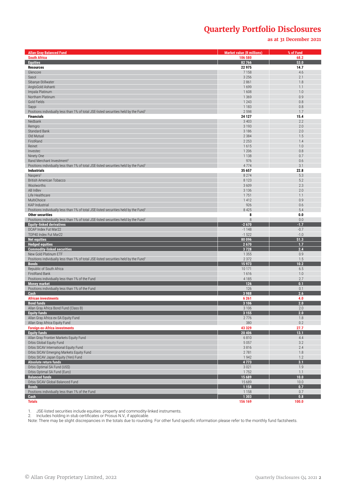**as at 31 December 2021**

| <b>Allan Gray Balanced Fund</b>                                                                            | <b>Market value (R millions)</b> | % of Fund        |
|------------------------------------------------------------------------------------------------------------|----------------------------------|------------------|
| <b>South Africa</b>                                                                                        | 106 580                          | 68.2             |
| <b>Equities</b>                                                                                            | 82 766                           | 53.0             |
| <b>Resources</b>                                                                                           | 22 975                           | 14.7             |
| Glencore                                                                                                   | 7 1 5 8                          | 4.6              |
| Sasol                                                                                                      | 3 2 5 6                          | 2.1              |
| Sibanye-Stillwater                                                                                         | 2861                             | 1.8              |
| AngloGold Ashanti                                                                                          | 1699                             | 1.1              |
| Impala Platinum                                                                                            | 1608                             | 1.0              |
| Northam Platinum<br>Gold Fields                                                                            | 1 3 6 9<br>1 2 4 3               | 0.9<br>0.8       |
| Sappi                                                                                                      | 1 1 8 3                          | 0.8              |
| Positions individually less than 1% of total JSE-listed securities held by the Fund <sup>1</sup>           | 2 5 9 8                          | 1.7              |
| <b>Financials</b>                                                                                          | 24 127                           | 15.4             |
| Nedbank                                                                                                    | 3 4 0 3                          | 2.2              |
| Remgro                                                                                                     | 3 1 9 3                          | 2.0              |
| <b>Standard Bank</b>                                                                                       | 3 1 8 6                          | 2.0              |
| Old Mutual                                                                                                 | 2 3 8 4                          | 1.5              |
| FirstRand                                                                                                  | 2 2 5 3                          | 1.4              |
| Reinet                                                                                                     | 1615                             | 1.0              |
| Investec                                                                                                   | 1 2 0 6                          | 0.8              |
| Ninety One                                                                                                 | 1 1 3 8                          | 0.7              |
| Rand Merchant Investment <sup>2</sup>                                                                      | 976                              | 0.6              |
| Positions individually less than 1% of total JSE-listed securities held by the Fund1<br><b>Industrials</b> | 4774<br>35 657                   | 3.1<br>22.8      |
| Naspers <sup>2</sup>                                                                                       | 8 2 7 4                          | 5.3              |
| <b>British American Tobacco</b>                                                                            | 8 1 2 3                          | 5.2              |
| Woolworths                                                                                                 | 3 6 0 9                          | 2.3              |
| AB InBev                                                                                                   | 3 1 3 6                          | 2.0              |
| Life Healthcare                                                                                            | 1751                             | 1.1              |
| MultiChoice                                                                                                | 1 4 1 2                          | 0.9              |
| <b>KAP Industrial</b>                                                                                      | 926                              | 0.6              |
| Positions individually less than 1% of total JSE-listed securities held by the Fund <sup>1</sup>           | 8 4 2 5                          | 5.4              |
| <b>Other securities</b>                                                                                    | 8                                | 0.0              |
| Positions individually less than 1% of total JSE-listed securities held by the Fund <sup>1</sup>           | 8                                | 0.0              |
| <b>Equity-linked derivatives</b>                                                                           | $-2670$                          | $-1.7$           |
| DCAP Index Fut Mar22<br>TOP40 Index Fut Mar22                                                              | $-1148$<br>$-1522$               | $-0.7$<br>$-1.0$ |
| <b>Net equities</b>                                                                                        | 80096                            | 51.3             |
| <b>Hedged equities</b>                                                                                     | 2670                             | 1.7              |
| <b>Commodity-linked securities</b>                                                                         | 3728                             | 2.4              |
| New Gold Platinum ETF                                                                                      | 1 3 5 5                          | 0.9              |
| Positions individually less than 1% of total JSE-listed securities held by the Fund <sup>1</sup>           | 2 3 7 2                          | 1.5              |
| <b>Bonds</b>                                                                                               | 15 973                           | 10.2             |
| Republic of South Africa                                                                                   | 10 171                           | 6.5              |
| <b>FirstRand Bank</b>                                                                                      | 1616                             | 1.0              |
| Positions individually less than 1% of the Fund                                                            | 4 1 8 5                          | 2.7              |
| <b>Money market</b>                                                                                        | 126                              | 0.1              |
| Positions individually less than 1% of the Fund                                                            | 126                              | 0.1<br>2.6       |
| Cash<br><b>African investments</b>                                                                         | 3 9 8 8<br>6 2 6 1               | 4.0              |
| <b>Bond funds</b>                                                                                          | 3 1 0 6                          | 2.0              |
| Allan Gray Africa Bond Fund (Class B)                                                                      | 3 1 0 6                          | 2.0              |
| <b>Equity funds</b>                                                                                        | 3 1 5 5                          | 2.0              |
| Allan Gray Africa ex-SA Equity Fund                                                                        | 2776                             | 1.8              |
| Allan Gray Africa Equity Fund                                                                              | 380                              | 0.2              |
| <b>Foreign ex-Africa investments</b>                                                                       | 43 329                           | 27.7             |
| <b>Equity funds</b>                                                                                        | 20 4 06                          | 13.1             |
| Allan Gray Frontier Markets Equity Fund                                                                    | 6810                             | 4.4              |
| Orbis Global Equity Fund                                                                                   | 5 0 5 7                          | 3.2              |
| Orbis SICAV International Equity Fund<br>Orbis SICAV Emerging Markets Equity Fund                          | 3816<br>2781                     | 2.4<br>1.8       |
| Orbis SICAV Japan Equity (Yen) Fund                                                                        | 1942                             | 1.2              |
| <b>Absolute return funds</b>                                                                               | 4773                             | 3.1              |
| Orbis Optimal SA Fund (US\$)                                                                               | 3 0 21                           | 1.9              |
| Orbis Optimal SA Fund (Euro)                                                                               | 1752                             | 1.1              |
| <b>Balanced funds</b>                                                                                      | 15 689                           | 10.0             |
| Orbis SICAV Global Balanced Fund                                                                           | 15 689                           | 10.0             |
| <b>Bonds</b>                                                                                               | 1 1 5 8                          | 0.7              |
| Positions individually less than 1% of the Fund                                                            | 1 1 5 8                          | 0.7              |
| Cash                                                                                                       | 1 3 0 3                          | 0.8              |
| <b>Totals</b>                                                                                              | 156 169                          | 100.0            |

1. JSE-listed securities include equities. property and commodity-linked instruments.

2. Includes holding in stub certificates or Prosus N.V., if applicable.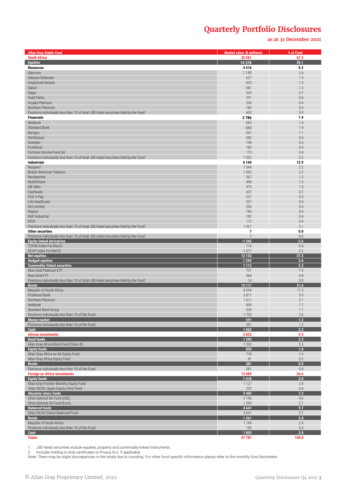#### **as at 31 December 2021**

| <b>Allan Gray Stable Fund</b>                                                                             | <b>Market value (R millions)</b> | % of Fund        |
|-----------------------------------------------------------------------------------------------------------|----------------------------------|------------------|
| <b>South Africa</b>                                                                                       | 32 261                           | 67.5             |
| <b>Equities</b>                                                                                           | 14 3 78                          | 30.1             |
| <b>Resources</b>                                                                                          | 4416                             | 9.2<br>2.4       |
| Glencore<br>Sibanye-Stillwater                                                                            | 1 1 4 9<br>627                   | 1.3              |
| AngloGold Ashanti                                                                                         | 620                              | 1.3              |
| Sasol                                                                                                     | 581                              | 1.2              |
| Sappi                                                                                                     | 333                              | 0.7              |
| Gold Fields                                                                                               | 291                              | 0.6              |
| Impala Platinum<br>Northam Platinum                                                                       | 200<br>180                       | 0.4<br>0.4       |
| Positions individually less than 1% of total JSE-listed securities held by the Fund1                      | 435                              | 0.9              |
| <b>Financials</b>                                                                                         | 3786                             | 7.9              |
| Nedbank                                                                                                   | 685                              | 1.4              |
| <b>Standard Bank</b>                                                                                      | 668                              | 1.4              |
| Remgro<br>Old Mutual                                                                                      | 547<br>282                       | 1.1<br>0.6       |
| Investec                                                                                                  | 198                              | 0.4              |
| FirstRand                                                                                                 | 183                              | 0.4              |
| Fortress Income Fund (A)                                                                                  | 170                              | 0.4              |
| Positions individually less than 1% of total JSE-listed securities held by the Fund<br><b>Industrials</b> | 1 0 5 2<br>6 1 6 9               | 2.2<br>12.9      |
| $N$ aspers <sup>2</sup>                                                                                   | 1044                             | 2.2              |
| <b>British American Tobacco</b>                                                                           | 1 0 3 3                          | 2.2              |
| Woolworths                                                                                                | 567                              | 1.2              |
| MultiChoice                                                                                               | 498                              | 1.0              |
| AB InBev<br>Cashbuild                                                                                     | 475<br>337                       | 1.0<br>0.7       |
| Pick 'n Pay                                                                                               | 237                              | 0.5              |
| Life Healthcare                                                                                           | 207                              | 0.4              |
| <b>AVI Limited</b>                                                                                        | 205                              | 0.4              |
| Pepkor                                                                                                    | 190                              | 0.4              |
| KAP Industrial                                                                                            | 182                              | 0.4              |
| <b>MTN</b><br>Positions individually less than 1% of total JSE-listed securities held by the Fund         | 172<br>1 0 2 1                   | 0.4<br>2.1       |
| <b>Other securities</b>                                                                                   | $\overline{7}$                   | 0.0              |
| Positions individually less than 1% of total JSE-listed securities held by the Fund'                      | $\overline{7}$                   | 0.0              |
| <b>Equity-linked derivatives</b>                                                                          | $-1245$                          | $-2.6$           |
| TOP40 Index Fut Mar22<br>DCAP Index Fut Mar22                                                             | $-174$<br>$-1071$                | $-0.4$<br>$-2.2$ |
| <b>Net equities</b>                                                                                       | 13 133                           | 27.5             |
| <b>Hedged equities</b>                                                                                    | 1 2 4 5                          | 2.6              |
| <b>Commodity-linked securities</b>                                                                        | 1 1 1 3                          | 2.3              |
| New Gold Platinum ETF                                                                                     | 731                              | 1.5              |
| New Gold ETF<br>Positions individually less than 1% of total JSE-listed securities held by the Fund1      | 368<br>14                        | 0.8<br>0.0       |
| <b>Bonds</b>                                                                                              | 15 117                           | 31.6             |
| Republic of South Africa                                                                                  | 8 2 5 4                          | 17.3             |
| FirstRand Bank                                                                                            | 2 8 1 1                          | 5.9              |
| Northam Platinum<br>Nedbank                                                                               | 1011<br>804                      | 2.1<br>1.7       |
| Standard Bank Group                                                                                       | 534                              | 1.1              |
| Positions individually less than 1% of the Fund                                                           | 1703                             | 3.6              |
| <b>Money market</b>                                                                                       | 591                              | 1.2              |
| Positions individually less than 1% of the Fund<br>Cash                                                   | 591<br>1 0 6 2                   | 1.2<br>2.2       |
| <b>African investments</b>                                                                                | 2832                             | 5.9              |
| <b>Bond funds</b>                                                                                         | 1592                             | 3.3              |
| Allan Gray Africa Bond Fund (Class B)                                                                     | 1592                             | 3.3              |
| <b>Equity funds</b>                                                                                       | 859                              | 1.8              |
| Allan Gray Africa ex-SA Equity Fund<br>Allan Gray Africa Equity Fund                                      | 778<br>81                        | 1.6<br>0.2       |
| <b>Bonds</b>                                                                                              | 381                              | 0.8              |
| Positions individually less than 1% of the Fund                                                           | 381                              | 0.8              |
| <b>Foreign ex-Africa investments</b>                                                                      | 12 689                           | 26.6             |
| <b>Equity funds</b>                                                                                       | 1418<br>1 1 2 7                  | 3.0<br>2.4       |
| Allan Gray Frontier Markets Equity Fund<br>Orbis SICAV Japan Equity (Yen) Fund                            | 292                              | 0.6              |
| Absolute return funds                                                                                     | 3 4 6 5                          | 7.3              |
| Orbis Optimal SA Fund (US\$)                                                                              | 2 1 9 6                          | 4.6              |
| Orbis Optimal SA Fund (Euro)                                                                              | 1 2 6 9                          | 2.7              |
| <b>Balanced funds</b><br>Orbis SICAV Global Balanced Fund                                                 | 4 6 4 1<br>4641                  | 9.7<br>9.7       |
| <b>Bonds</b>                                                                                              | 1 3 6 1                          | 2.8              |
| Republic of South Africa                                                                                  | 1 1 6 9                          | 2.4              |
| Positions individually less than 1% of the Fund                                                           | 192                              | 0.4              |
| Cash<br><b>Totals</b>                                                                                     | 1803<br>47 781                   | 3.8<br>100.0     |

1. JSE-listed securities include equities, property and commodity-linked instruments.

2. Includes holding in stub certificates or Prosus N.V., if applicable. Note: There may be slight discrepancies in the totals due to rounding. For other fund specific information please refer to the monthly fund factsheets.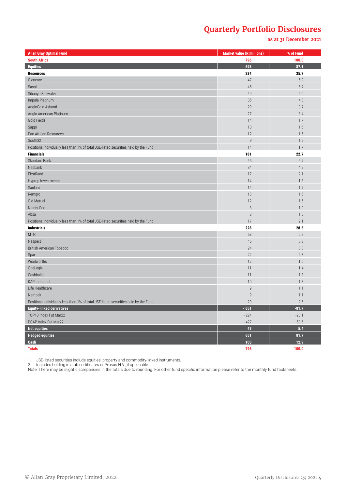**as at 31 December 2021**

| <b>Allan Gray Optimal Fund</b>                                                                   | <b>Market value (R millions)</b> | % of Fund |
|--------------------------------------------------------------------------------------------------|----------------------------------|-----------|
| <b>South Africa</b>                                                                              | 796                              | 100.0     |
| <b>Equities</b>                                                                                  | 693                              | 87.1      |
| <b>Resources</b>                                                                                 | 284                              | 35.7      |
| Glencore                                                                                         | 47                               | 5.9       |
| Sasol                                                                                            | 45                               | 5.7       |
| Sibanye-Stillwater                                                                               | 40                               | 5.0       |
| Impala Platinum                                                                                  | 35                               | 4.3       |
| AngloGold Ashanti                                                                                | 29                               | 3.7       |
| Anglo American Platinum                                                                          | 27                               | 3.4       |
| Gold Fields                                                                                      | 14                               | 1.7       |
| Sappi                                                                                            | 13                               | 1.6       |
| Pan African Resources                                                                            | 12                               | 1.5       |
| South32                                                                                          | $\overline{9}$                   | 1.2       |
| Positions individually less than 1% of total JSE-listed securities held by the Fund <sup>1</sup> | 14                               | 1.7       |
| <b>Financials</b>                                                                                | 181                              | 22.7      |
| <b>Standard Bank</b>                                                                             | 45                               | 5.7       |
| Nedbank                                                                                          | 34                               | 4.2       |
| FirstRand                                                                                        | 17                               | 2.1       |
| Hyprop Investments                                                                               | 14                               | 1.8       |
| Sanlam                                                                                           | 14                               | 1.7       |
| Remgro                                                                                           | 13                               | 1.6       |
| Old Mutual                                                                                       | 12                               | 1.5       |
| Ninety One                                                                                       | $\boldsymbol{8}$                 | 1.0       |
| Absa                                                                                             | $\boldsymbol{8}$                 | 1.0       |
| Positions individually less than 1% of total JSE-listed securities held by the Fund <sup>1</sup> | 17                               | 2.1       |
| <b>Industrials</b>                                                                               | 228                              | 28.6      |
| <b>MTN</b>                                                                                       | 53                               | 6.7       |
| Naspers <sup>2</sup>                                                                             | 46                               | 5.8       |
| British American Tobacco                                                                         | 24                               | 3.0       |
| Spar                                                                                             | 22                               | 2.8       |
| Woolworths                                                                                       | 12                               | 1.6       |
| OneLogix                                                                                         | 11                               | 1.4       |
| Cashbuild                                                                                        | 11                               | 1.3       |
| <b>KAP Industrial</b>                                                                            | 10                               | 1.3       |
| Life Healthcare                                                                                  | $\overline{9}$                   | 1.1       |
| Nampak                                                                                           | $\overline{9}$                   | 1.1       |
| Positions individually less than 1% of total JSE-listed securities held by the Fund <sup>1</sup> | 20                               | 2.5       |
| <b>Equity-linked derivatives</b>                                                                 | $-651$                           | $-81.7$   |
| TOP40 Index Fut Mar22                                                                            | $-224$                           | $-28.1$   |
| DCAP Index Fut Mar22                                                                             | $-427$                           | $-53.6$   |
| <b>Net equities</b>                                                                              | 43                               | 5.4       |
| <b>Hedged equities</b>                                                                           | 651                              | 81.7      |
| Cash                                                                                             | 103                              | 12.9      |
| <b>Totals</b>                                                                                    | 796                              | 100.0     |

1. JSE-listed securities include equities, property and commodity-linked instruments.

2. Includes holding in stub certificates or Prosus N.V., if applicable.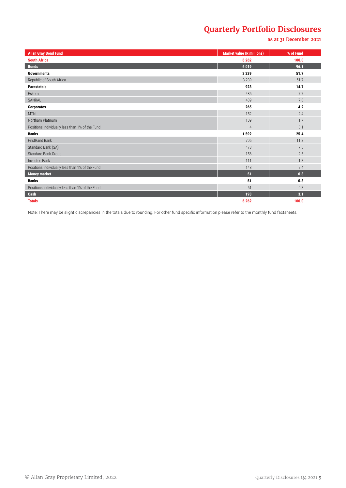#### **as at 31 December 2021**

| <b>Allan Gray Bond Fund</b>                     | <b>Market value (R millions)</b> | % of Fund |
|-------------------------------------------------|----------------------------------|-----------|
| <b>South Africa</b>                             | 6 2 6 2                          | 100.0     |
| <b>Bonds</b>                                    | 6019                             | 96.1      |
| <b>Governments</b>                              | 3 2 3 9                          | 51.7      |
| Republic of South Africa                        | 3 2 3 9                          | 51.7      |
| <b>Parastatals</b>                              | 923                              | 14.7      |
| Eskom                                           | 485                              | 7.7       |
| SANRAL                                          | 439                              | 7.0       |
| <b>Corporates</b>                               | 265                              | 4.2       |
| <b>MTN</b>                                      | 152                              | 2.4       |
| Northam Platinum                                | 109                              | 1.7       |
| Positions individually less than 1% of the Fund | $\overline{4}$                   | 0.1       |
| <b>Banks</b>                                    | 1592                             | 25.4      |
| <b>FirstRand Bank</b>                           | 705                              | 11.3      |
| Standard Bank (SA)                              | 473                              | 7.5       |
| Standard Bank Group                             | 156                              | 2.5       |
| Investec Bank                                   | 111                              | 1.8       |
| Positions individually less than 1% of the Fund | 148                              | 2.4       |
| <b>Money market</b>                             | 51                               | 0.8       |
| <b>Banks</b>                                    | 51                               | 0.8       |
| Positions individually less than 1% of the Fund | 51                               | 0.8       |
| Cash                                            | 193                              | 3.1       |
| <b>Totals</b>                                   | 6 2 6 2                          | 100.0     |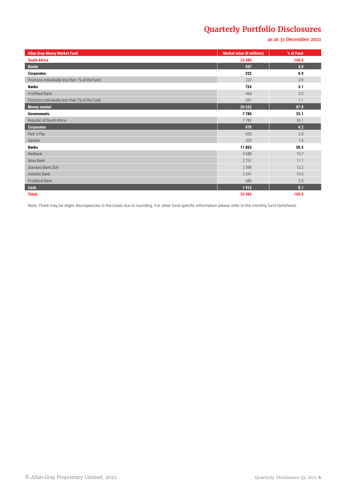#### **as at 31 December 2021**

| <b>Allan Gray Money Market Fund</b>             | <b>Market value (R millions)</b> | % of Fund |
|-------------------------------------------------|----------------------------------|-----------|
| <b>South Africa</b>                             | 23 480                           | 100.0     |
| <b>Bonds</b>                                    | 947                              | 4.0       |
| <b>Corporates</b>                               | 222                              | 0.9       |
| Positions individually less than 1% of the Fund | 222                              | 0.9       |
| <b>Banks</b>                                    | 724                              | 3.1       |
| FirstRand Bank                                  | 464                              | 2.0       |
| Positions individually less than 1% of the Fund | 261                              | 1.1       |
| <b>Money market</b>                             | 20 622                           | 87.8      |
| <b>Governments</b>                              | 7780                             | 33.1      |
| Republic of South Africa                        | 7780                             | 33.1      |
| Corporates                                      | 978                              | 4.2       |
| Pick 'n Pay                                     | 653                              | 2.8       |
| Sanlam                                          | 325                              | 1.4       |
| <b>Banks</b>                                    | 11863                            | 50.5      |
| Nedbank                                         | 3688                             | 15.7      |
| Absa Bank                                       | 2757                             | 11.7      |
| Standard Bank (SA)                              | 2 3 9 8                          | 10.2      |
| Investec Bank                                   | 2 3 4 1                          | 10.0      |
| FirstRand Bank                                  | 680                              | 2.9       |
| Cash                                            | 1912                             | 8.1       |
| <b>Totals</b>                                   | 23 480                           | 100.0     |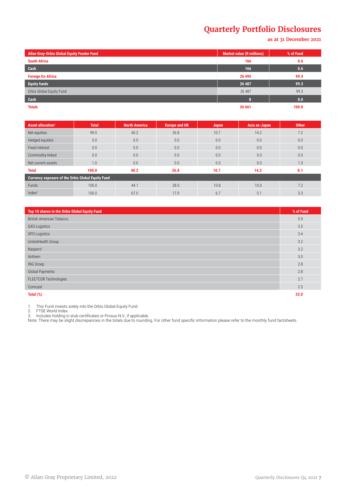**as at 31 December 2021**

| <b>Allan Gray-Orbis Global Equity Feeder Fund</b> | <b>Market value (R millions)</b> | % of Fund |
|---------------------------------------------------|----------------------------------|-----------|
| <b>South Africa</b>                               | 166                              | 0.6       |
| Cash                                              | 166                              | 0.6       |
| <b>Foreign Ex-Africa</b>                          | 26 4 95                          | 99.4      |
| <b>Equity funds</b>                               | 26 487                           | 99.3      |
| Orbis Global Equity Fund                          | 26 487                           | 99.3      |
| Cash                                              | п                                | 0.0       |
| <b>Totals</b>                                     | 26 661                           | 100.0     |

| Asset allocation <sup>1</sup>                            | <b>Total</b> | <b>North America</b> | <b>Europe and UK</b> | Japan | Asia ex-Japan | <b>Other</b> |
|----------------------------------------------------------|--------------|----------------------|----------------------|-------|---------------|--------------|
| Net equities                                             | 99.0         | 40.2                 | 26.8                 | 10.7  | 14.2          | 7.2          |
| Hedged equities                                          | 0.0          | 0.0                  | 0.0                  | 0.0   | 0.0           | 0.0          |
| Fixed interest                                           | 0.0          | 0.0                  | 0.0                  | 0.0   | 0.0           | 0.0          |
| Commodity-linked                                         | 0.0          | 0.0                  | 0.0                  | 0.0   | 0.0           | 0.0          |
| Net current assets                                       | 1.0          | 0.0                  | 0.0                  | 0.0   | 0.0           | 1.0          |
| <b>Total</b>                                             | 100.0        | 40.2                 | 26.8                 | 10.7  | 14.2          | 8.1          |
| <b>Currency exposure of the Orbis Global Equity Fund</b> |              |                      |                      |       |               |              |
| <b>Funds</b>                                             | 100.0        | 44.1                 | 28.0                 | 10.8  | 10.0          | 7.2          |
| Index <sup>2</sup>                                       | 100.0        | 67.0                 | 17.9                 | 6.7   | 5.1           | 3.3          |

| Top 10 shares in the Orbis Global Equity Fund | % of Fund |
|-----------------------------------------------|-----------|
| <b>British American Tobacco</b>               | 5.9       |
| <b>GXO Logistics</b>                          | 3.5       |
| XPO Logistics                                 | 3.4       |
| UnitedHealth Group                            | 3.2       |
| Naspers <sup>3</sup>                          | 3.2       |
| Anthem                                        | 3.0       |
| ING Groep                                     | 2.8       |
| Global Payments                               | 2.8       |
| FLEETCOR Technologies                         | 2.7       |
| Comcast                                       | 2.5       |
| Total (%)                                     | 33.0      |

1. This Fund invests solely into the Orbis Global Equity Fund.

2. FTSE World Index.

3. Includes holding in stub certificates or Prosus N.V., if applicable.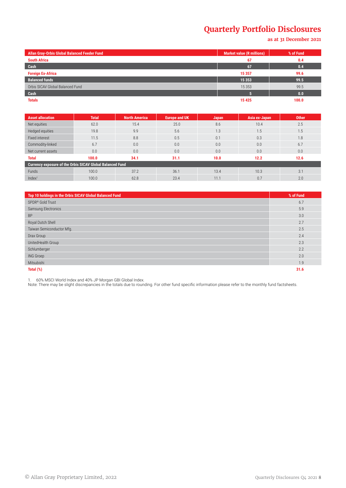**as at 31 December 2021**

| <b>Allan Gray-Orbis Global Balanced Feeder Fund</b> | <b>Market value (R millions)</b> | % of Fund |
|-----------------------------------------------------|----------------------------------|-----------|
| <b>South Africa</b>                                 | -67                              | 0.4       |
| Cash                                                | 67                               | 0.4       |
| <b>Foreign Ex-Africa</b>                            | 15 3 5 7                         | 99.6      |
| <b>Balanced funds</b>                               | 15 3 53                          | 99.5      |
| Orbis SICAV Global Balanced Fund                    | 15 3 5 3                         | 99.5      |
| Cash                                                |                                  | 0.0       |
| <b>Totals</b>                                       | 15 4 25                          | 100.0     |

| <b>Asset allocation</b>                                   | <b>Total</b> | <b>North America</b> | <b>Europe and UK</b> | <b>Japan</b> | Asia ex-Japan | <b>Other</b> |
|-----------------------------------------------------------|--------------|----------------------|----------------------|--------------|---------------|--------------|
| Net equities                                              | 62.0         | 15.4                 | 25.0                 | 8.6          | 10.4          | 2.5          |
| Hedged equities                                           | 19.8         | 9.9                  | 5.6                  | 1.3          | 1.5           | 1.5          |
| Fixed interest                                            | 11.5         | 8.8                  | 0.5                  | 0.1          | 0.3           | 1.8          |
| Commodity-linked                                          | 6.7          | 0.0                  | 0.0                  | 0.0          | 0.0           | 6.7          |
| Net current assets                                        | 0.0          | 0.0                  | 0.0                  | 0.0          | 0.0           | 0.0          |
| <b>Total</b>                                              | 100.0        | 34.1                 | 31.1                 | 10.0         | 12.2          | 12.6         |
| Currency exposure of the Orbis SICAV Global Balanced Fund |              |                      |                      |              |               |              |
| Funds                                                     | 100.0        | 37.2                 | 36.1                 | 13.4         | 10.3          | 3.1          |
| Index <sup>1</sup>                                        | 100.0        | 62.8                 | 23.4                 | 11.1         | 0.7           | 2.0          |

| Top 10 holdings in the Orbis SICAV Global Balanced Fund | % of Fund |
|---------------------------------------------------------|-----------|
| SPDR <sup>®</sup> Gold Trust                            | 6.7       |
| Samsung Electronics                                     | 5.9       |
| <b>BP</b>                                               | 3.0       |
| Royal Dutch Shell                                       | 2.7       |
| Taiwan Semiconductor Mfg.                               | 2.5       |
| Drax Group                                              | 2.4       |
| UnitedHealth Group                                      | 2.3       |
| Schlumberger                                            | 2.2       |
| ING Groep                                               | 2.0       |
| Mitsubishi                                              | 1.9       |
| Total (%)                                               | 31.6      |

1. 60% MSCI World Index and 40% JP Morgan GBI Global Index.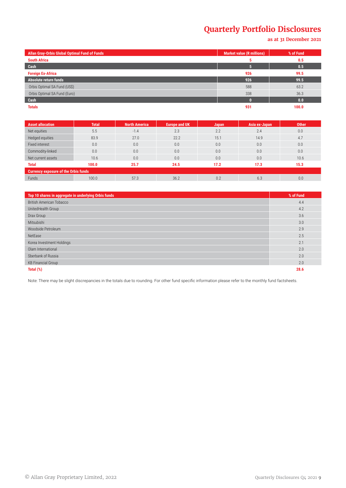**as at 31 December 2021**

| Allan Gray-Orbis Global Optimal Fund of Funds | <b>Market value (R millions)</b> | % of Fund |
|-----------------------------------------------|----------------------------------|-----------|
| <b>South Africa</b>                           | ь                                | 0.5       |
| Cash                                          |                                  | 0.5       |
| <b>Foreign Ex-Africa</b>                      | 926                              | 99.5      |
| Absolute return funds                         | 926                              | 99.5      |
| Orbis Optimal SA Fund (US\$)                  | 588                              | 63.2      |
| Orbis Optimal SA Fund (Euro)                  | 338                              | 36.3      |
| Cash                                          |                                  | 0.0       |
| <b>Totals</b>                                 | 931                              | 100.0     |

| <b>Asset allocation</b>                     | <b>Total</b> | <b>North America</b> | Europe and UK ' | Japan | Asia ex-Japan | <b>Other</b> |
|---------------------------------------------|--------------|----------------------|-----------------|-------|---------------|--------------|
| Net equities                                | 5.5          | $-1.4$               | 2.3             | 2.2   | 2.4           | 0.0          |
| Hedged equities                             | 83.9         | 27.0                 | 22.2            | 15.1  | 14.9          | 4.7          |
| Fixed interest                              | 0.0          | 0.0                  | 0.0             | 0.0   | 0.0           | 0.0          |
| Commodity-linked                            | 0.0          | 0.0                  | 0.0             | 0.0   | 0.0           | 0.0          |
| Net current assets                          | 10.6         | 0.0                  | 0.0             | 0.0   | 0.0           | 10.6         |
| <b>Total</b>                                | 100.0        | 25.7                 | 24.5            | 17.2  | 17.3          | 15.3         |
| <b>Currency exposure of the Orbis funds</b> |              |                      |                 |       |               |              |
| Funds                                       | 100.0        | 57.3                 | 36.2            | 0.2   | 6.3           | 0.0          |

| Top 10 shares in aggregate in underlying Orbis funds | % of Fund |
|------------------------------------------------------|-----------|
| British American Tobacco                             | 4.4       |
| UnitedHealth Group                                   | 4.2       |
| Drax Group                                           | 3.6       |
| Mitsubishi                                           | 3.0       |
| Woodside Petroleum                                   | 2.9       |
| NetEase                                              | 2.5       |
| Korea Investment Holdings                            | 2.1       |
| Olam International                                   | 2.0       |
| Sberbank of Russia                                   | 2.0       |
| <b>KB Financial Group</b>                            | 2.0       |
| Total (%)                                            | 28.6      |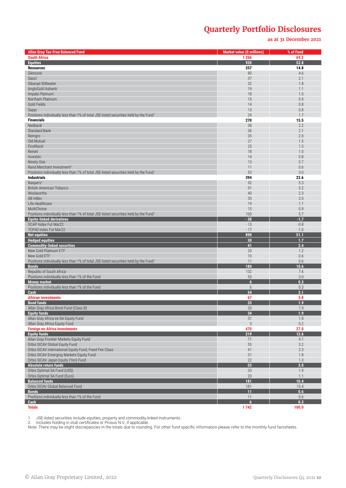**as at 31 December 2021**

| <b>Allan Gray Tax-Free Balanced Fund</b>                                                         | <b>Market value (R millions)</b> | % of Fund      |
|--------------------------------------------------------------------------------------------------|----------------------------------|----------------|
| <b>South Africa</b>                                                                              | 1 2 0 6                          | 69.2           |
| <b>Equities</b>                                                                                  | 920                              | 52.8           |
| <b>Resources</b>                                                                                 | 257                              | 14.8           |
| Glencore                                                                                         | 80                               | 4.6            |
| Sasol<br>Sibanye-Stillwater                                                                      | 37<br>32                         | 2.1<br>1.8     |
| AngloGold Ashanti                                                                                | 19                               | 1.1            |
| Impala Platinum                                                                                  | 18                               | 1.0            |
| Northam Platinum                                                                                 | 15                               | 0.9            |
| Gold Fields                                                                                      | 14                               | 0.8            |
| Sappi                                                                                            | 13                               | 0.8            |
| Positions individually less than 1% of total JSE-listed securities held by the Fund <sup>1</sup> | 29                               | 1.7            |
| <b>Financials</b>                                                                                | 270                              | 15.5           |
| Nedbank                                                                                          | 38                               | 2.2            |
| <b>Standard Bank</b>                                                                             | 36                               | 2.1            |
| Remgro                                                                                           | 35                               | 2.0            |
| Old Mutual                                                                                       | 27                               | 1.5            |
| FirstRand<br>Reinet                                                                              | 25<br>18                         | 1.5<br>1.0     |
| Investec                                                                                         | 14                               | 0.8            |
| Ninety One                                                                                       | 13                               | 0.7            |
| Rand Merchant Investment <sup>2</sup>                                                            | 11                               | 0.6            |
| Positions individually less than 1% of total JSE-listed securities held by the Fund <sup>1</sup> | 53                               | 3.0            |
| <b>Industrials</b>                                                                               | 394                              | 22.6           |
| Naspers <sup>2</sup>                                                                             | 92                               | 5.3            |
| <b>British American Tobacco</b>                                                                  | 91                               | 5.2            |
| Woolworths                                                                                       | 40                               | 2.3            |
| AB InBev                                                                                         | 35                               | 2.0            |
| Life Healthcare                                                                                  | 19                               | 1.1            |
| MultiChoice                                                                                      | 15                               | 0.9            |
| Positions individually less than 1% of total JSE-listed securities held by the Fund              | 100                              | 5.7            |
| <b>Equity-linked derivatives</b>                                                                 | $-30$                            | $-1.7$         |
| DCAP Index Fut Mar22                                                                             | $-13$                            | $-0.8$         |
| TOP40 Index Fut Mar22                                                                            | $-17$                            | $-1.0$<br>51.1 |
| <b>Net equities</b><br><b>Hedged equities</b>                                                    | 890<br>30                        | 1.7            |
| <b>Commodity-linked securities</b>                                                               | 41                               | 2.4            |
| New Gold Platinum ETF                                                                            | 20                               | 1.2            |
| New Gold ETF                                                                                     | 10                               | 0.6            |
| Positions individually less than 1% of total JSE-listed securities held by the Fund <sup>1</sup> | 11                               | 0.6            |
| <b>Bonds</b>                                                                                     | 184                              | 10.6           |
| Republic of South Africa                                                                         | 132                              | 7.6            |
| Positions individually less than 1% of the Fund                                                  | 53                               | 3.0            |
| <b>Money market</b>                                                                              | $6\overline{6}$                  | 0.3            |
| Positions individually less than 1% of the Fund                                                  | 6<br>54                          | 0.3            |
| Cash<br><b>African investments</b>                                                               | 67                               | 3.1<br>3.8     |
| <b>Bond funds</b>                                                                                | 33                               | 1.9            |
| Allan Gray Africa Bond Fund (Class B)                                                            | 33                               | $1.9$          |
| <b>Equity funds</b>                                                                              | 34                               | 1.9            |
| Allan Gray Africa ex-SA Equity Fund                                                              | 31                               | 1.8            |
| Allan Gray Africa Equity Fund                                                                    | 3                                | 0.2            |
| <b>Foreign ex-Africa investments</b>                                                             | 470                              | 27.0           |
| <b>Equity funds</b>                                                                              | 219                              | 12.6           |
| Allan Gray Frontier Markets Equity Fund                                                          | 71                               | 4.1            |
| Orbis SICAV Global Equity Fund                                                                   | 55                               | 3.2            |
| Orbis SICAV International Equity Fund, Fixed Fee Class                                           | 41                               | 2.3            |
| Orbis SICAV Emerging Markets Equity Fund                                                         | 31                               | 1.8            |
| Orbis SICAV Japan Equity (Yen) Fund                                                              | 22<br>53                         | 1.3<br>3.0     |
| <b>Absolute return funds</b>                                                                     | 33                               | 1.9            |
| Orbis Optimal SA Fund (US\$)<br>Orbis Optimal SA Fund (Euro)                                     | 20                               | 1.1            |
| <b>Balanced funds</b>                                                                            | 181                              | 10.4           |
| Orbis SICAV Global Balanced Fund                                                                 | 181                              | 10.4           |
| <b>Bonds</b>                                                                                     | 11                               | 0.6            |
| Positions individually less than 1% of the Fund                                                  | 11                               | 0.6            |
| Cash                                                                                             | 6                                | 0.3            |
| <b>Totals</b>                                                                                    | 1742                             | 100.0          |

1. JSE-listed securities include equities, property and commodity-linked instruments.

2. Includes holding in stub certificates or Prosus N.V., if applicable.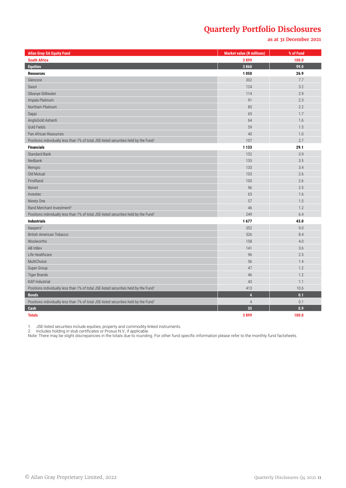#### **as at 31 December 2021**

| <b>Allan Gray SA Equity Fund</b>                                                                 | <b>Market value (R millions)</b> | % of Fund |
|--------------------------------------------------------------------------------------------------|----------------------------------|-----------|
| <b>South Africa</b>                                                                              | 3899                             | 100.0     |
| <b>Equities</b>                                                                                  | 3860                             | 99.0      |
| <b>Resources</b>                                                                                 | 1050                             | 26.9      |
| Glencore                                                                                         | 302                              | 7.7       |
| Sasol                                                                                            | 124                              | 3.2       |
| Sibanye-Stillwater                                                                               | 114                              | 2.9       |
| Impala Platinum                                                                                  | 91                               | 2.3       |
| Northam Platinum                                                                                 | 85                               | 2.2       |
| Sappi                                                                                            | 65                               | 1.7       |
| AngloGold Ashanti                                                                                | 64                               | 1.6       |
| Gold Fields                                                                                      | 59                               | 1.5       |
| Pan African Resources                                                                            | 40                               | 1.0       |
| Positions individually less than 1% of total JSE-listed securities held by the Fund <sup>1</sup> | 107                              | 2.7       |
| <b>Financials</b>                                                                                | 1 1 3 3                          | 29.1      |
| <b>Standard Bank</b>                                                                             | 152                              | 3.9       |
| Nedbank                                                                                          | 135                              | 3.5       |
| Remgro                                                                                           | 133                              | 3.4       |
| Old Mutual                                                                                       | 103                              | 2.6       |
| FirstRand                                                                                        | 100                              | 2.6       |
| Reinet                                                                                           | 96                               | 2.5       |
| Investec                                                                                         | 63                               | 1.6       |
| Ninety One                                                                                       | 57                               | 1.5       |
| Rand Merchant Investment <sup>2</sup>                                                            | 46                               | 1.2       |
| Positions individually less than 1% of total JSE-listed securities held by the Fund <sup>1</sup> | 249                              | 6.4       |
| <b>Industrials</b>                                                                               | 1677                             | 43.0      |
| Naspers <sup>2</sup>                                                                             | 352                              | 9.0       |
| <b>British American Tobacco</b>                                                                  | 326                              | 8.4       |
| Woolworths                                                                                       | 158                              | 4.0       |
| AB InBev                                                                                         | 141                              | 3.6       |
| Life Healthcare                                                                                  | 96                               | 2.5       |
| MultiChoice                                                                                      | 56                               | 1.4       |
| Super Group                                                                                      | 47                               | 1.2       |
| <b>Tiger Brands</b>                                                                              | 46                               | 1.2       |
| <b>KAP Industrial</b>                                                                            | 43                               | 1.1       |
| Positions individually less than 1% of total JSE-listed securities held by the Fund <sup>1</sup> | 413                              | 10.6      |
| <b>Bonds</b>                                                                                     | $\overline{4}$                   | 0.1       |
| Positions individually less than 1% of total JSE-listed securities held by the Fund <sup>1</sup> | $\overline{4}$                   | 0.1       |
| Cash                                                                                             | 35                               | 0.9       |
| <b>Totals</b>                                                                                    | 3899                             | 100.0     |

1. JSE-listed securities include equities, property and commodity-linked instruments.

2. Includes holding in stub certificates or Prosus N.V., if applicable.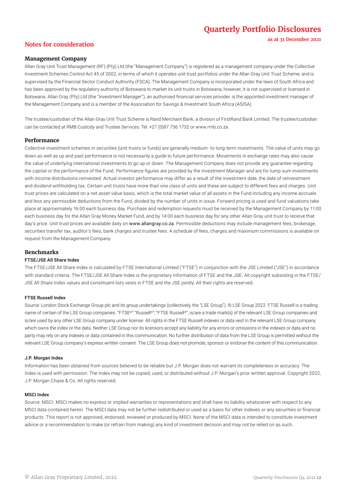**as at 31 December 2021**

### **Notes for consideration**

#### **Management Company**

Allan Gray Unit Trust Management (RF) (Pty) Ltd (the "Management Company") is registered as a management company under the Collective Investment Schemes Control Act 45 of 2002, in terms of which it operates unit trust portfolios under the Allan Gray Unit Trust Scheme, and is supervised by the Financial Sector Conduct Authority (FSCA). The Management Company is incorporated under the laws of South Africa and has been approved by the regulatory authority of Botswana to market its unit trusts in Botswana, however, it is not supervised or licensed in Botswana. Allan Gray (Pty) Ltd (the "Investment Manager"), an authorised financial services provider, is the appointed investment manager of the Management Company and is a member of the Association for Savings & Investment South Africa (ASISA).

The trustee/custodian of the Allan Gray Unit Trust Scheme is Rand Merchant Bank, a division of FirstRand Bank Limited. The trustee/custodian can be contacted at RMB Custody and Trustee Services: Tel: +27 (0)87 736 1732 or www.rmb.co.za.

#### **Performance**

Collective investment schemes in securities (unit trusts or funds) are generally medium- to long-term investments. The value of units may go down as well as up and past performance is not necessarily a guide to future performance. Movements in exchange rates may also cause the value of underlying international investments to go up or down. The Management Company does not provide any guarantee regarding the capital or the performance of the Fund. Performance figures are provided by the Investment Manager and are for lump sum investments with income distributions reinvested. Actual investor performance may differ as a result of the investment date, the date of reinvestment and dividend withholding tax. Certain unit trusts have more than one class of units and these are subject to different fees and charges. Unit trust prices are calculated on a net asset value basis, which is the total market value of all assets in the Fund including any income accruals and less any permissible deductions from the Fund, divided by the number of units in issue. Forward pricing is used and fund valuations take place at approximately 16:00 each business day. Purchase and redemption requests must be received by the Management Company by 11:00 each business day for the Allan Gray Money Market Fund, and by 14:00 each business day for any other Allan Gray unit trust to receive that day's price. Unit trust prices are available daily on www.allangray.co.za. Permissible deductions may include management fees, brokerage, securities transfer tax, auditor's fees, bank charges and trustee fees. A schedule of fees, charges and maximum commissions is available on request from the Management Company.

#### **Benchmarks**

#### FTSE/JSE All Share Index

The FTSE/JSE All Share Index is calculated by FTSE International Limited ("FTSE") in conjunction with the JSE Limited ("JSE") in accordance with standard criteria. The FTSE/JSE All Share Index is the proprietary information of FTSE and the JSE. All copyright subsisting in the FTSE/ JSE All Share Index values and constituent lists vests in FTSE and the JSE jointly. All their rights are reserved.

#### FTSE Russell Index

Source: London Stock Exchange Group plc and its group undertakings (collectively, the "LSE Group"). © LSE Group 2022. FTSE Russell is a trading name of certain of the LSE Group companies. "FTSE®" "Russell®", "FTSE Russell®", is/are a trade mark(s) of the relevant LSE Group companies and is/are used by any other LSE Group company under license. All rights in the FTSE Russell indexes or data vest in the relevant LSE Group company which owns the index or the data. Neither LSE Group nor its licensors accept any liability for any errors or omissions in the indexes or data and no party may rely on any indexes or data contained in this communication. No further distribution of data from the LSE Group is permitted without the relevant LSE Group company's express written consent. The LSE Group does not promote, sponsor or endorse the content of this communication.

#### J.P. Morgan Index

Information has been obtained from sources believed to be reliable but J.P. Morgan does not warrant its completeness or accuracy. The Index is used with permission. The Index may not be copied, used, or distributed without J.P. Morgan's prior written approval. Copyright 2022, J.P. Morgan Chase & Co. All rights reserved.

#### MSCI Index

Source: MSCI. MSCI makes no express or implied warranties or representations and shall have no liability whatsoever with respect to any MSCI data contained herein. The MSCI data may not be further redistributed or used as a basis for other indexes or any securities or financial products. This report is not approved, endorsed, reviewed or produced by MSCI. None of the MSCI data is intended to constitute investment advice or a recommendation to make (or refrain from making) any kind of investment decision and may not be relied on as such.